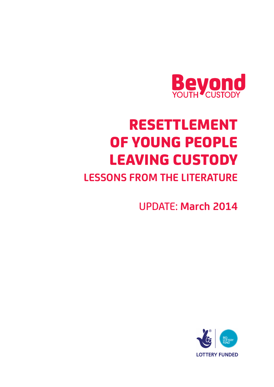

# RESETTLEMENT OF YOUNG PEOPLE LEAVING CUSTODY

## **LESSONS FROM THE LITERATURE**

UPDATE: **March 2014**

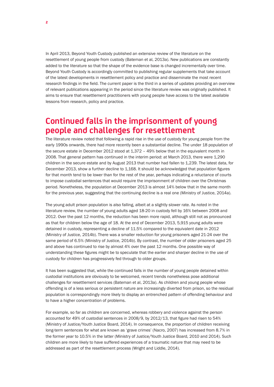In April 2013, Beyond Youth Custody published an extensive review of the literature on the resettlement of young people from custody (Bateman et al, 2013a). New publications are constantly added to the literature so that the shape of the evidence base is changed incrementally over time. Beyond Youth Custody is accordingly committed to publishing regular supplements that take account of the latest developments in resettlement policy and practice and disseminate the most recent research findings in the field. The current paper is the third in a series of updates providing an overview of relevant publications appearing in the period since the literature review was originally published. It aims to ensure that resettlement practitioners with young people have access to the latest available lessons from research, policy and practice.

## **Continued falls in the imprisonment of young people and challenges for resettlement**

The literature review noted that following a rapid rise in the use of custody for young people from the early 1990s onwards, there had more recently been a substantial decline. The under 18 population of the secure estate in December 2012 stood at 1,372 – 49% below that in the equivalent month in 2008. That general pattern has continued in the interim period: at March 2013, there were 1,290 children in the secure estate and by August 2013 that number had fallen to 1,239. The latest data, for December 2013, show a further decline to 1,168. It should be acknowledged that population figures for that month tend to be lower than for the rest of the year, perhaps indicating a reluctance of courts to impose custodial sentences that would require the imprisonment of children over the Christmas period. Nonetheless, the population at December 2013 is almost 14% below that in the same month for the previous year, suggesting that the continuing decline is a real one (Ministry of Justice, 2014a).

The young adult prison population is also falling, albeit at a slightly slower rate. As noted in the literature review, the number of young adults aged 18-20 in custody fell by 16% between 2008 and 2012. Over the past 12 months, the reduction has been more rapid, although still not as pronounced as that for children below the age of 18. At the end of December 2013, 5,915 young adults were detained in custody, representing a decline of 11.5% compared to the equivalent date in 2012 (Ministry of Justice, 2014b). There was a smaller reduction for young prisoners aged 21-24 over the same period of 6.5% (Ministry of Justice, 2014b). By contrast, the number of older prisoners aged 25 and above has continued to rise by almost 4% over the past 12 months. One possible way of understanding these figures might be to speculate that the earlier and sharper decline in the use of custody for children has progressively fed through to older groups.

It has been suggested that, while the continued falls in the number of young people detained within custodial institutions are obviously to be welcomed, recent trends nonetheless pose additional challenges for resettlement services (Bateman et al, 2013a). As children and young people whose offending is of a less serious or persistent nature are increasingly diverted from prison, so the residual population is correspondingly more likely to display an entrenched pattern of offending behaviour and to have a higher concentration of problems.

For example, so far as children are concerned, whereas robbery and violence against the person accounted for 49% of custodial sentences in 2008/9, by 2012/13, that figure had risen to 54% (Ministry of Justice/Youth Justice Board, 2014). In consequence, the proportion of children receiving long-term sentences for what are known as 'grave crimes' (Nacro, 2007) has increased from 8.7% in the former year to 10.5% in the latter (Ministry of Justice/Youth Justice Board, 2010 and 2014). Such children are more likely to have suffered experiences of a traumatic nature that may need to be addressed as part of the resettlement process (Wright and Liddle, 2014).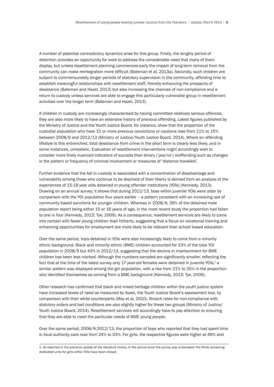A number of potential contradictory dynamics arise for this group. Firstly, the lengthy period of detention provides an opportunity for work to address the considerable need that many of them display, but unless resettlement planning commences early the impact of long-term removal from the community can make reintegration more difficult (Bateman et al, 2013a). Secondly, such children are subject to commensurately longer periods of statutory supervision in the community, affording time to establish meaningful relationships with resettlement staff, thereby enhancing the prospects of desistance (Bateman and Hazel, 2013) but also increasing the chances of non-compliance and a return to custody unless services are able to engage this particularly vulnerable group in resettlement activities over the longer term (Bateman and Hazel, 2013).

If children in custody are increasingly characterised by having committed relatively serious offences, they are also more likely to have an extensive history of previous offending. Latest figures published by the Ministry of Justice and the Youth Justice Board, for instance, show that the proportion of the custodial population who have 15 or more previous convictions or cautions rose from 11% to 15% between 2008/9 and 2012/13 (Ministry of Justice/Youth Justice Board, 2014). Where an offending lifestyle is this entrenched, total desistance from crime in the short term is clearly less likely, and in some instances, unrealistic. Evaluation of resettlement interventions might accordingly wish to consider more finely nuanced indicators of success than binary ('yes/no') reoffending such as changes in the pattern or frequency of criminal involvement or measures of 'distance travelled'.

Further evidence that the fall in custody is associated with a concentration of disadvantage and vulnerability among those who continue to be deprived of their liberty is derived from an analysis of the experiences of 15-18 year olds detained in young offender institutions (YOIs) (Kennedy, 2013). Drawing on an annual survey, it shows that during 2012/13, boys within juvenile YOIs were older by comparison with the YOI population four years earlier – a pattern consistent with an increasing use of community based sanctions for younger children. Whereas in 2008/9, 39% of the detained male population report being either 15 or 16 years of age, in the most recent study the proportion had fallen to one in four (Kennedy, 2013; Tye, 2009). As a consequence, resettlement services are likely to come into contact with fewer young children than hitherto, suggesting that a focus on vocational training and enhancing opportunities for employment are more likely to be relevant than school based education.

Over the same period, boys detained in YOIs were also increasingly likely to come from a minority ethnic background. Black and minority ethnic (BME) children accounted for 33% of the total YOI population in 2008/9 but 43% in 2012/13, suggesting that the decline in imprisonment for BME children has been less marked. Although the numbers sampled are significantly smaller, reflecting the fact that at the time of the latest survey only 17-year-old females were detained in juvenile YOIs,<sup>1</sup> a similar pattern was displayed among the girl population, with a rise from 21% to 35% in the proportion who identified themselves as coming from a BME background (Kennedy, 2013; Tye, 2009).

Other research has confirmed that black and mixed heritage children within the youth justice system have increased levels of need as measured by Asset, the Youth Justice Board's assessment tool, by comparison with their white counterparts (May et al, 2010). Breach rates for non-compliance with statutory orders and bail conditions are also slightly higher for these two groups (Ministry of Justice/ Youth Justice Board, 2014). Resettlement services will accordingly have to pay attention to ensuring that they are able to meet the particular needs of BME young people.

Over the same period, 2008/9-2012/13, the proportion of boys who reported that they had spent time in local authority care rose from 24% to 33%. For girls, the respective figures were higher at 49% and

<sup>1</sup> As reported in the previous update of the literature review, in the period since the survey was undertaken the three remaining dedicated units for girls within YOIs have been closed.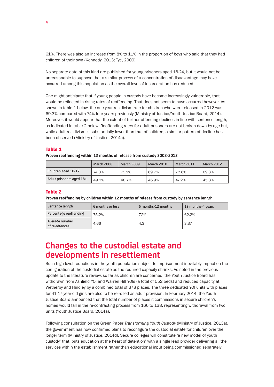61%. There was also an increase from 8% to 11% in the proportion of boys who said that they had children of their own (Kennedy, 2013; Tye, 2009).

No separate data of this kind are published for young prisoners aged 18-24, but it would not be unreasonable to suppose that a similar process of a concentration of disadvantage may have occurred among this population as the overall level of incarceration has reduced.

One might anticipate that if young people in custody have become increasingly vulnerable, that would be reflected in rising rates of reoffending. That does not seem to have occurred however. As shown in table 1 below, the one year recidivism rate for children who were released in 2012 was 69.3% compared with 74% four years previously (Ministry of Justice/Youth Justice Board, 2014). Moreover, it would appear that the extent of further offending declines in line with sentence length, as indicated in table 2 below. Reoffending rates for adult prisoners are not broken down by age but, while adult recidivism is substantially lower than that of children, a similar pattern of decline has been observed (Ministry of Justice, 2014c).

#### Table 1

**Proven reoffending within 12 months of release from custody 2008-2012**

|                          | <b>March 2008</b> | <b>March 2009</b> | <b>March 2010</b> | <b>March 2011</b> | <b>March 2012</b> |
|--------------------------|-------------------|-------------------|-------------------|-------------------|-------------------|
| Children aged 10-17      | 74.0%             | 71.2%             | 69.7%             | 72.6%             | 69.3%             |
| Adult prisoners aged 18+ | 49.2%             | 48.7%             | 46.9%             | 47.2%             | 45.8%             |

#### Table 2

**Proven reoffending by children within 12 months of release from custody by sentence length**

| Sentence length                  | 6 months or less | 6 months-12 months | 12 months-4 years |
|----------------------------------|------------------|--------------------|-------------------|
| Percentage reoffending           | 75.2%            | 72%                | 62.2%             |
| Average number<br>of re-offences | 4.66             | 4.3                | 3.37              |

## **Changes to the custodial estate and developments in resettlement**

Such high level reductions in the youth population subject to imprisonment inevitably impact on the configuration of the custodial estate as the required capacity shrinks. As noted in the previous update to the literature review, so far as children are concerned, the Youth Justice Board has withdrawn from Ashfield YOI and Warren Hill YOIs (a total of 552 beds) and reduced capacity at Wetherby and Hindley by a combined total of 378 places. The three dedicated YOI units with places for 41 17-year-old girls are also to be re-rolled as adult provision. In February 2014, the Youth Justice Board announced that the total number of places it commissions in secure children's homes would fall in the re-contracting process from 166 to 138, representing withdrawal from two units (Youth Justice Board, 2014a).

Following consultation on the Green Paper *Transforming Youth Custody* (Ministry of Justice, 2013a), the government has now confirmed plans to reconfigure the custodial estate for children over the longer term (Ministry of Justice, 2014d). Secure colleges will constitute 'a new model of youth custody' that 'puts education at the heart of detention' with a single lead provider delivering all the services within the establishment rather than educational input being commissioned separately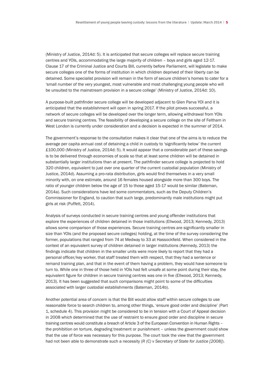(Ministry of Justice, 2014d: 5). It is anticipated that secure colleges will replace secure training centres and YOIs, accommodating the large majority of children – boys and girls aged 12-17. Clause 17 of the Criminal Justice and Courts Bill, currently before Parliament, will legislate to make secure colleges one of the forms of institution in which children deprived of their liberty can be detained. Some specialist provision will remain in the form of secure children's homes to cater for a 'small number of the very youngest, most vulnerable and most challenging young people who will be unsuited to the mainstream provision in a secure college' (Ministry of Justice, 2014d: 10).

A purpose-built pathfinder secure college will be developed adjacent to Glen Parva YOI and it is anticipated that the establishment will open in spring 2017. If the pilot proves successful, a network of secure colleges will be developed over the longer term, allowing withdrawal from YOIs and secure training centres. The feasibility of developing a secure college on the site of Feltham in West London is currently under consideration and a decision is expected in the summer of 2014.

The government's response to the consultation makes it clear that one of the aims is to reduce the average per capita annual cost of detaining a child in custody to 'significantly below' the current £100,000 (Ministry of Justice, 2014d: 5). It would appear that a considerable part of these savings is to be delivered through economies of scale so that at least some children will be detained in substantially larger institutions than at present. The pathfinder secure college is projected to hold 320 children, equivalent to just over one quarter of the current custodial population (Ministry of Justice, 2014d). Assuming a pro-rata distribution, girls would find themselves in a very small minority with, on one estimate, around 16 females housed alongside more than 300 boys. The ratio of younger children below the age of 15 to those aged 15-17 would be similar (Bateman, 2014a). Such considerations have led some commentators, such as the Deputy Children's Commissioner for England, to caution that such large, predominantly male institutions might put girls at risk (Puffett, 2014).

Analysis of surveys conducted in secure training centres and young offender institutions that explore the experiences of children detained in those institutions (Ellwood, 2013; Kennedy, 2013) allows some comparison of those experiences. Secure training centres are significantly smaller in size than YOIs (and the proposed secure colleges) holding, at the time of the survey considering the former, populations that ranged from 74 at Medway to 33 at Hassockfield. When considered in the context of an equivalent survey of children detained in larger institutions (Kennedy, 2013) the findings indicate that children in the smaller units were more likely to report that they had a personal officer/key worker, that staff treated them with respect, that they had a sentence or remand training plan, and that in the event of them having a problem, they would have someone to turn to. While one in three of those held in YOIs had felt unsafe at some point during their stay, the equivalent figure for children in secure training centres was one in five (Ellwood, 2013; Kennedy, 2013). It has been suggested that such comparisons might point to some of the difficulties associated with larger custodial establishments (Bateman, 2014b).

Another potential area of concern is that the Bill would allow staff within secure colleges to use reasonable force to search children to, among other things, 'ensure good order and discipline' (Part 1, schedule 4). This provision might be considered to be in tension with a Court of Appeal decision in 2008 which determined that the use of restraint to ensure good order and discipline in secure training centres would constitute a breach of Article 3 of the European Convention in Human Rights – the prohibition on torture, degrading treatment or punishment – unless the government could show that the use of force was necessary for this purpose. The court took the view that the government had not been able to demonstrate such a necessity (*R (C) v Secretary of State for Justice [2008]*).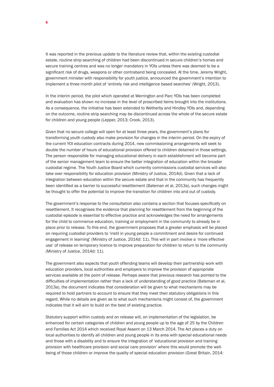It was reported in the previous update to the literature review that, within the existing custodial estate, routine strip searching of children had been discontinued in secure children's homes and secure training centres and was no longer mandatory in YOIs unless there was deemed to be a significant risk of drugs, weapons or other contraband being concealed. At the time, Jeremy Wright, government minister with responsibility for youth justice, announced the government's intention to implement a three month pilot of 'entirely risk and intelligence based searches' (Wright, 2013).

In the interim period, the pilot which operated at Werrington and Parc YOIs has been completed and evaluation has shown no increase in the level of proscribed items brought into the institutions. As a consequence, the initiative has been extended to Wetherby and Hindley YOIs and, depending on the outcome, routine strip searching may be discontinued across the whole of the secure estate for children and young people (Lepper, 2013; Crook, 2013).

Given that no secure college will open for at least three years, the government's plans for transforming youth custody also make provision for changes in the interim period. On the expiry of the current YOI education contracts during 2014, new commissioning arrangements will seek to double the number of hours of educational provision offered to children detained in those settings. The person responsible for managing educational delivery in each establishment will become part of the senior management team to ensure the better integration of education within the broader custodial regime. The Youth Justice Board which currently commissions custodial services will also take over responsibility for education provision (Ministry of Justice, 2014d). Given that a lack of integration between education within the secure estate and that in the community has frequently been identified as a barrier to successful resettlement (Bateman et al, 2013a), such changes might be thought to offer the potential to improve the transition for children into and out of custody.

The government's response to the consultation also contains a section that focuses specifically on resettlement. It recognises the evidence that planning for resettlement from the beginning of the custodial episode is essential to effective practice and acknowledges the need for arrangements for the child to commence education, training or employment in the community to already be in place prior to release. To this end, the government proposes that a greater emphasis will be placed on requiring custodial providers to 'instil in young people a commitment and desire for continued engagement in learning' (Ministry of Justice, 2014d: 11). This will in part involve a 'more effective use' of release on temporary licence to improve preparation for children to return to the community (Ministry of Justice, 2014d: 11).

The government also expects that youth offending teams will develop their partnership work with education providers, local authorities and employers to improve the provision of appropriate services available at the point of release. Perhaps aware that previous research has pointed to the difficulties of implementation rather than a lack of understanding of good practice (Bateman et al, 2013a), the document indicates that consideration will be given to what mechanisms may be required to hold partners to account to ensure that they meet their statutory obligations in this regard. While no details are given as to what such mechanisms might consist of, the government indicates that it will aim to build on the best of existing practice.

Statutory support within custody and on release will, on implementation of the legislation, be enhanced for certain categories of children and young people up to the age of 25 by the Children and Families Act 2014 which received Royal Assent on 13 March 2014. The Act places a duty on local authorities to identify all children and young people in its area with special educational needs and those with a disability and to ensure the integration of 'educational provision and training provision with healthcare provision and social care provision' where this would promote the wellbeing of those children or improve the quality of special education provision (Great Britain, 2014: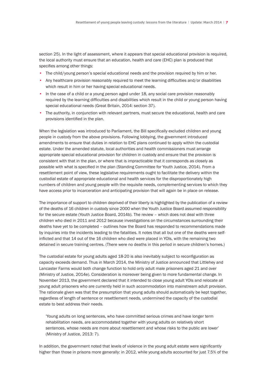section 25). In the light of assessment, where it appears that special educational provision is required, the local authority must ensure that an education, health and care (EHC) plan is produced that specifies among other things:

- The child/young person's special educational needs and the provision required by him or her.
- Any healthcare provision reasonably required to meet the learning difficulties and/or disabilities which result in him or her having special educational needs.
- In the case of a child or a young person aged under 18, any social care provision reasonably required by the learning difficulties and disabilities which result in the child or young person having special educational needs (Great Britain, 2014: section 37).
- The authority, in conjunction with relevant partners, must secure the educational, health and care provisions identified in the plan.

When the legislation was introduced to Parliament, the Bill specifically excluded children and young people in custody from the above provisions. Following lobbying, the government introduced amendments to ensure that duties in relation to EHC plans continued to apply within the custodial estate. Under the amended statute, local authorities and health commissioners must arrange appropriate special educational provision for children in custody and ensure that the provision is consistent with that in the plan, or where that is impracticable that it corresponds as closely as possible with what is specified in the plan (Standing Committee for Youth Justice, 2014). From a resettlement point of view, these legislative requirements ought to facilitate the delivery within the custodial estate of appropriate educational and health services for the disproportionately high numbers of children and young people with the requisite needs, complementing services to which they have access prior to incarceration and anticipating provision that will again be in place on release.

The importance of support to children deprived of their liberty is highlighted by the publication of a review of the deaths of 16 children in custody since 2000 when the Youth Justice Board assumed responsibility for the secure estate (Youth Justice Board, 2014b). The review – which does not deal with three children who died in 2011 and 2012 because investigations on the circumstances surrounding their deaths have yet to be completed – outlines how the Board has responded to recommendations made by inquiries into the incidents leading to the fatalities. It notes that all but one of the deaths were selfinflicted and that 14 out of the 16 children who died were placed in YOIs, with the remaining two detained in secure training centres. (There were no deaths in this period in secure children's homes.)

The custodial estate for young adults aged 18-20 is also inevitably subject to reconfiguration as capacity exceeds demand. Thus in March 2014, the Ministry of Justice announced that Littlehey and Lancaster Farms would both change function to hold only adult male prisoners aged 21 and over (Ministry of Justice, 2014e). Consideration is moreover being given to more fundamental change. In November 2013, the government declared that it intended to close young adult YOIs and relocate all young adult prisoners who are currently held in such accommodation into mainstream adult provision. The rationale given was that the presumption that young adults should automatically be kept together, regardless of length of sentence or resettlement needs, undermined the capacity of the custodial estate to best address their needs.

'Young adults on long sentences, who have committed serious crimes and have longer term rehabilitation needs, are accommodated together with young adults on relatively short sentences, whose needs are more about resettlement and whose risks to the public are lower' (Ministry of Justice, 2013: 7).

In addition, the government noted that levels of violence in the young adult estate were significantly higher than those in prisons more generally: in 2012, while young adults accounted for just 7.5% of the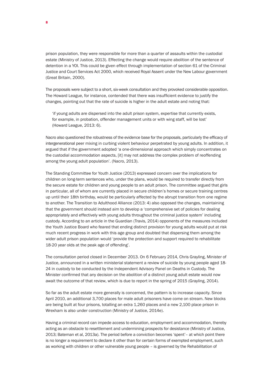prison population, they were responsible for more than a quarter of assaults within the custodial estate (Ministry of Justice, 2013). Effecting the change would require abolition of the sentence of detention in a YOI. This could be given effect through implementation of section 61 of the Criminal Justice and Court Services Act 2000, which received Royal Assent under the New Labour government (Great Britain, 2000).

The proposals were subject to a short, six-week consultation and they provoked considerable opposition. The Howard League, for instance, contended that there was insufficient evidence to justify the changes, pointing out that the rate of suicide is higher in the adult estate and noting that:

'if young adults are dispersed into the adult prison system, expertise that currently exists, for example, in probation, offender management units or with wing staff, will be lost' (Howard League, 2013: 6).

Nacro also questioned the robustness of the evidence base for the proposals, particularly the efficacy of intergenerational peer mixing in curbing violent behaviour perpetrated by young adults. In addition, it argued that if the government adopted 'a one-dimensional approach which simply concentrates on the custodial accommodation aspects, [it] may not address the complex problem of reoffending among the young adult population'. (Nacro, 2013).

The Standing Committee for Youth Justice (2013) expressed concern over the implications for children on long-term sentences who, under the plans, would be required to transfer directly from the secure estate for children and young people to an adult prison. The committee argued that girls in particular, all of whom are currently placed in secure children's homes or secure training centres up until their 18th birthday, would be particularly affected by the abrupt transition from one regime to another. The Transition to Adulthood Alliance (2013: 4) also opposed the changes, maintaining that the government should instead aim to develop a 'comprehensive set of policies for dealing appropriately and effectively with young adults throughout the criminal justice system' including custody. According to an article in the Guardian (Travis, 2014) opponents of the measures included the Youth Justice Board who feared that ending distinct provision for young adults would put at risk much recent progress in work with this age group and doubted that dispersing them among the wider adult prison population would 'provide the protection and support required to rehabilitate 18-20 year olds at the peak age of offending'.

The consultation period closed in December 2013. On 6 February 2014, Chris Grayling, Minister of Justice, announced in a written ministerial statement a review of suicide by young people aged 18- 24 in custody to be conducted by the Independent Advisory Panel on Deaths in Custody. The Minister confirmed that any decision on the abolition of a distinct young adult estate would now await the outcome of that review, which is due to report in the spring of 2015 (Grayling, 2014).

So far as the adult estate more generally is concerned, the pattern is to increase capacity. Since April 2010, an additional 3,700 places for male adult prisoners have come on stream. New blocks are being built at four prisons, totalling an extra 1,260 places and a new 2,100 place prison in Wrexham is also under construction (Ministry of Justice, 2014e).

Having a criminal record can impede access to education, employment and accommodation, thereby acting as an obstacle to resettlement and undermining prospects for desistance (Ministry of Justice, 2013; Bateman et al, 2013a). The period before a conviction becomes 'spent'– at which point there is no longer a requirement to declare it other than for certain forms of exempted employment, such as working with children or other vulnerable young people – is governed by the Rehabilitation of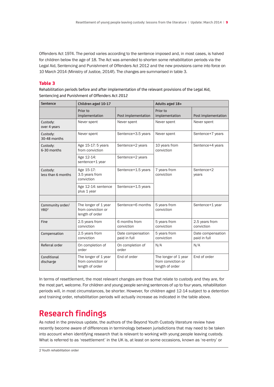Offenders Act 1974. The period varies according to the sentence imposed and, in most cases, is halved for children below the age of 18. The Act was amended to shorten some rehabilitation periods via the Legal Aid, Sentencing and Punishment of Offenders Act 2012 and the new provisions came into force on 10 March 2014 (Ministry of Justice, 2014f). The changes are summarised in table 3.

#### Table 3

Rehabilitation periods before and after implementation of the relevant provisions of the Legal Aid, Sentencing and Punishment of Offenders Act 2012

| <b>Sentence</b>                      | Children aged 10-17                                           |                                   | Adults aged 18+                                               |                                   |
|--------------------------------------|---------------------------------------------------------------|-----------------------------------|---------------------------------------------------------------|-----------------------------------|
|                                      | Prior to<br>implementation                                    | Post implementation               | Prior to<br>implementation                                    | Post implementation               |
| Custody:<br>over 4 years             | Never spent                                                   | Never spent                       | Never spent                                                   | Never spent                       |
| Custody:<br>30-48 months             | Never spent                                                   | Sentence+3.5 years                | Never spent                                                   | Sentence+7 years                  |
| Custody:<br>$6-30$ months            | Age 15-17: 5 years<br>from conviction                         | Sentence+2 years                  | 10 years from<br>conviction                                   | Sentence+4 years                  |
|                                      | Age 12-14:<br>sentence+1 year                                 | Sentence+2 years                  |                                                               |                                   |
| Custody:<br>less than 6 months       | Age 15-17:<br>3.5 years from<br>conviction                    | Sentence+1.5 years                | 7 years from<br>conviction                                    | Sentence+2<br>years               |
|                                      | Age 12-14: sentence<br>plus 1 year                            | Sentence+1.5 years                |                                                               |                                   |
|                                      |                                                               |                                   |                                                               |                                   |
| Community order/<br>YRO <sup>2</sup> | The longer of 1 year<br>from conviction or<br>length of order | Sentence+6 months                 | 5 years from<br>conviction                                    | Sentence+1 year                   |
| Fine                                 | 2.5 years from<br>conviction                                  | 6 months from<br>conviction       | 5 years from<br>conviction                                    | 2.5 years from<br>conviction      |
| Compensation                         | 2.5 years from<br>conviction                                  | Date compensation<br>paid in full | 5 years from<br>conviction                                    | Date compensation<br>paid in full |
| Referral order                       | On completion of<br>order                                     | On completion of<br>order         | N/A                                                           | N/A                               |
| Conditional<br>discharge             | The longer of 1 year<br>from conviction or<br>length of order | End of order                      | The longer of 1 year<br>from conviction or<br>length of order | End of order                      |

In terms of resettlement, the most relevant changes are those that relate to custody and they are, for the most part, welcome. For children and young people serving sentences of up to four years, rehabilitation periods will, in most circumstances, be shorter. However, for children aged 12-14 subject to a detention and training order, rehabilitation periods will actually increase as indicated in the table above.

## **Research findings**

As noted in the previous update, the authors of the Beyond Youth Custody literature review have recently become aware of differences in terminology between jurisdictions that may need to be taken into account when identifying research that is relevant to working with young people leaving custody. What is referred to as 'resettlement' in the UK is, at least on some occasions, known as 're-entry' or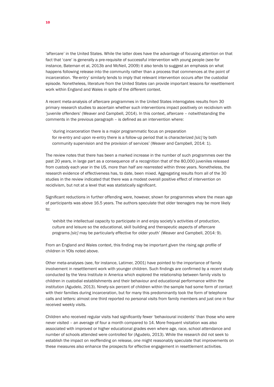'aftercare' in the United States. While the latter does have the advantage of focusing attention on that fact that 'care' is generally a pre-requisite of successful intervention with young people (see for instance, Bateman et al, 2013b and McNeil, 2009) it also tends to suggest an emphasis on what happens following release into the community rather than a process that commences at the point of incarceration. 'Re-entry' similarly tends to imply that relevant intervention occurs after the custodial episode. Nonetheless, literature from the United States can provide important lessons for resettlement work within England and Wales in spite of the different context.

A recent meta-analysis of aftercare programmes in the United States interrogates results from 30 primary research studies to ascertain whether such interventions impact positively on recidivism with 'juvenile offenders' (Weaver and Campbell, 2014). In this context, aftercare – notwithstanding the comments in the previous paragraph – is defined as an intervention where:

'during incarceration there is a major programmatic focus on preparation for re-entry and upon re-entry there is a follow-up period that is characterized *[sic]* by both community supervision and the provision of services' (Weaver and Campbell, 2014: 1).

The review notes that there has been a marked increase in the number of such programmes over the past 20 years, in large part as a consequence of a recognition that of the 80,000 juveniles released from custody each year in the US, more than half are rearrested within three years. Nonetheless, the research evidence of effectiveness has, to date, been mixed. Aggregating results from all of the 30 studies in the review indicated that there was a modest overall positive effect of intervention on recidivism, but not at a level that was statistically significant.

Significant reductions in further offending were, however, shown for programmes where the mean age of participants was above 16.5 years. The authors speculate that older teenagers may be more likely to:

'exhibit the intellectual capacity to participate in and enjoy society's activities of production, culture and leisure so the educational, skill building and therapeutic aspects of aftercare programs *[sic]* may be particularly effective for older youth' (Weaver and Campbell, 2014: 9).

From an England and Wales context, this finding may be important given the rising age profile of children in YOIs noted above.

Other meta-analyses (see, for instance, Latimer, 2001) have pointed to the importance of family involvement in resettlement work with younger children. Such findings are confirmed by a recent study conducted by the Vera Institute in America which explored the relationship between family visits to children in custodial establishments and their behaviour and educational performance within the institution (Agudelo, 2013). Ninety-six percent of children within the sample had some form of contact with their families during incarceration, but for many this predominantly took the form of telephone calls and letters: almost one third reported no personal visits from family members and just one in four received weekly visits.

Children who received regular visits had significantly fewer 'behavioural incidents' than those who were never visited – an average of four a month compared to 14. More frequent visitation was also associated with improved or higher educational grades even where age, race, school attendance and number of schools attended were controlled for (Agudelo, 2013). While the research did not seek to establish the impact on reoffending on release, one might reasonably speculate that improvements on these measures also enhance the prospects for effective engagement in resettlement activities.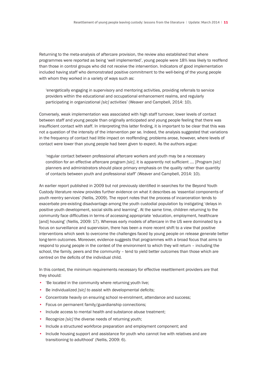Returning to the meta-analysis of aftercare provision, the review also established that where programmes were reported as being 'well implemented', young people were 18% less likely to reoffend than those in control groups who did not receive the intervention. Indicators of good implementation included having staff who demonstrated positive commitment to the well-being of the young people with whom they worked in a variety of ways such as:

'energetically engaging in supervisory and mentoring activities, providing referrals to service providers within the educational and occupational enhancement realms, and regularly participating in organizational *[sic]* activities' (Weaver and Campbell, 2014: 10).

Conversely, weak implementation was associated with high staff turnover, lower levels of contact between staff and young people than originally anticipated and young people feeling that there was insufficient contact with staff. In interpreting this latter finding, it is important to be clear that this was not a question of the intensity of the intervention per se. Indeed, the analysis suggested that variations in the frequency of contact had little impact on reoffending; problems arose, however, where levels of contact were lower than young people had been given to expect. As the authors argue:

'regular contact between professional aftercare workers and youth may be a necessary condition for an effective aftercare program *[sic]*, it is apparently not sufficient …. [Program *[sic]* planners and administrators should place primary emphasis on the quality rather than quantity of contacts between youth and professional staff' (Weaver and Campbell, 2014: 10).

An earlier report published in 2009 but not previously identified in searches for the Beyond Youth Custody literature review provides further evidence on what it describes as 'essential components of youth reentry services' (Nellis, 2009). The report notes that the process of incarceration tends to exacerbate pre-existing disadvantage among the youth custodial population by instigating 'delays in positive youth development, social skills and learning'. At the same time, children returning to the community face difficulties in terms of accessing appropriate 'education, employment, healthcare [and] housing' (Nellis, 2009: 17). Whereas early models of aftercare in the US were dominated by a focus on surveillance and supervision, there has been a more recent shift to a view that positive interventions which seek to overcome the challenges faced by young people on release generate better long-term outcomes. Moreover, evidence suggests that programmes with a broad focus that aims to respond to young people in the context of the environment to which they will return – including the school, the family, peers and the community – tend to yield better outcomes than those which are centred on the deficits of the individual child.

In this context, the minimum requirements necessary for effective resettlement providers are that they should:

- 'Be located in the community where returning youth live;
- Be individualized *[sic] t*o assist with developmental deficits;
- Concentrate heavily on ensuring school re-enrolment, attendance and success;
- Focus on permanent family/guardianship connections;
- Include access to mental health and substance abuse treatment;
- Recognize *[sic]* the diverse needs of returning youth;
- Include a structured workforce preparation and employment component; and
- Include housing support and assistance for youth who cannot live with relatives and are transitioning to adulthood' (Nellis, 2009: 6).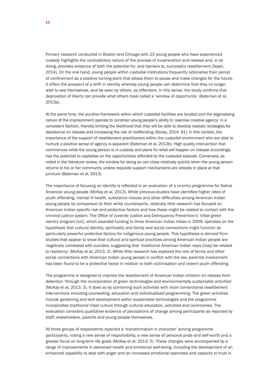Primary research conducted in Boston and Chicago with 23 young people who have experienced custody highlights the contradictory nature of the process of incarceration and release and, in so doing, provides evidence of both the potential for, and barriers to, successful resettlement (Soyer, 2014). On the one hand, young people within custodial institutions frequently rationalise their period of confinement as a positive turning point that allows them to pause and make changes for the future. It offers the prospect of a shift in identity whereby young people can determine that they no longer wish to see themselves, and be seen by others, as offenders. In this sense, the study confirms that deprivation of liberty can provide what others have called a 'window of opportunity' (Bateman et al, 2013a).

At the same time, the punitive framework within which custodial facilities are located and the stigmatising nature of the imprisonment operate to constrain young people's ability to 'exercise creative agency' in a consistent fashion, thereby limiting the likelihood that they will be able to develop realistic strategies for desistance on release and increasing the risk of reoffending (Storey, 2014: 91). In this context, the importance of the support of resettlement practitioners within the custodial environment who are able to nurture a positive sense of agency is apparent (Bateman et al, 2013b). High quality intervention that commences while the young person is in custody and plans for what will happen on release accordingly has the potential to capitalise on the opportunities afforded by the custodial episode. Conversely, as noted in the literature review, the window for doing so can close relatively quickly when the young person returns to his or her community unless requisite support mechanisms are already in place at that juncture (Bateman et al, 2013).

The importance of focusing on identity is reflected in an evaluation of a re-entry programme for Native American young people (McKay et al, 2013). While previous studies have identified higher rates of youth offending, mental ill health, substance misuse and other difficulties among American Indian young people by comparison to their white counterparts, relatively little research has focused on American Indian specific risk and protective factors and how these might be related to contact with the criminal justice system. The Office of Juvenile Justice and Delinquency Prevention's 'tribal green reentry program'*[sic]*, which awarded funding to three American Indian tribes in 2009, operates on the hypothesis that cultural identity, spirituality and family and social connections might function as particularly powerful protective factors for indigenous young people. This hypothesis is derived from studies that appear to show that cultural and spiritual practices among American Indian people are negatively correlated with suicides, suggesting that 'traditional American Indian ways [may] be related to resiliency' (McKay et al, 2013: 2). While little research has explored the role of family and other social connections with American Indian young people in conflict with the law, parental involvement has been found to be a protective factor in relation to both victimisation and violent youth offending.

The programme is designed to improve the resettlement of American Indian children on release from detention 'through the incorporation of green technologies and environmentally sustainable activities' (McKay et al, 2013: 3). It does so by combining such activities with more conventional resettlement interventions including counselling, education and individualised programming. The green activities include gardening and skill development within sustainable technologies and the programme incorporates traditional tribal culture through cultural education, activities and ceremonies. The evaluation considers qualitative evidence of perceptions of change among participants as reported by staff, stakeholders, parents and young people themselves.

All three groups of respondents reported a 'transformation in character' among programme participants, noting a new sense of responsibility, a new sense of personal pride and self-worth and a greater focus on long-term life goals (McKay et al, 2013: 5). These changes were accompanied by a range of improvements in perceived health and emotional well-being, including the development of an enhanced capability to deal with anger and an increased emotional openness and capacity to trust in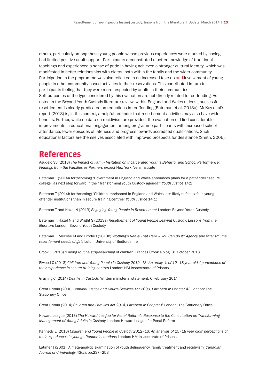others, particularly among those young people whose previous experiences were marked by having had limited positive adult support. Participants demonstrated a better knowledge of traditional teachings and experienced a sense of pride in having achieved a stronger cultural identity, which was manifested in better relationships with elders, both within the family and the wider community. Participation in the programme was also reflected in an increased take-up and involvement of young people in other community based activities in their reservations. This contributed in turn to participants feeling that they were more respected by adults in their communities. Soft outcomes of the type considered by this evaluation are not directly related to reoffending. As noted in the Beyond Youth Custody literature review, within England and Wales at least, successful resettlement is clearly predicated on reductions in reoffending (Bateman et al, 2013a). McKay et al's report (2013) is, in this context, a helpful reminder that resettlement activities may also have wider benefits. Further, while no data on recidivism are provided, the evaluation did find considerable improvements in educational engagement among programme participants with increased school attendance, fewer episodes of lateness and progress towards accredited qualifications. Such educational factors are themselves associated with improved prospects for desistance (Smith, 2006).

### **References**

Agudelo SV (2013) *The Impact of Family Visitation on Incarcerated Youth's Behavior and School Performance: Findings from the Families as Partners project* New York: Vera Institute

Bateman T (2014a forthcoming) 'Government in England and Wales announces plans for a pathfinder "secure college" as next step forward in the "Transforming youth Custody agenda"' *Youth Justice* 14(1)

Bateman T (2014b forthcoming) 'Children imprisoned in England and Wales less likely to feel safe in young offender institutions than in secure training centres' *Youth Justice* 14(1)

Bateman T and Hazel N (2013) *Engaging Young People in Resettlement* London: Beyond Youth Custody

Bateman T, Hazel N and Wright S (2013a) *Resettlement of Young People Leaving Custody: Lessons from the literature* London: Beyond Youth Custody

Bateman T, Melrose M and Brodie I (2013b) *'Nothing's Really That Hard – You Can do it': Agency and fatalism: the resettlement needs of girls* Luton: University of Bedfordshire

Crook F (2013) 'Ending routine strip-searching of children' Frances Crook's blog, 31 October 2013

Elwood C (2013) *Children and Young People in Custody 2012–13: An analysis of 12–18 year olds' perceptions of their experience in secure training centres* London: HM Inspectorate of Prisons

Grayling C (2014) *Deaths in Custody.* Written ministerial statement, 6 February 2014

Great Britain (2000) *Criminal Justice and Courts Services Act 2000, Elizabeth II*: Chapter 43 London: The Stationery Office

Great Britain (2014) *Children and Families Act 2014, Elizabeth II: Chapter 6* London: The Stationery Office

Howard League (2013) T*he Howard League for Penal Reform's Response to the Consultation on Transforming Management of Young Adults in Custody* London: Howard League for Penal Reform

Kennedy E (2013) *Children and Young People in Custody 2012–13: An analysis of 15–18 year olds' perceptions of their experiences in young offender institutions* London: HM Inspectorate of Prisons

Latimer J (2001) 'A meta-analytic examination of youth delinquency, family treatment and recidivism' *Canadian Journal of Criminology* 43(2): pp.237–253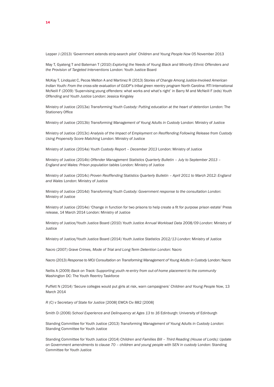Lepper J (2013) 'Government extends strip-search pilot' *Children and Young People Now* 05 November 2013

May T, Gyateng T and Bateman T (2010) *Exploring the Needs of Young Black and Minority Ethnic Offenders and the Provision of Targeted Interventions* London: Youth Justice Board

McKay T, Lindquist C, Pecos Melton A and Martinez R (2013) *Stories of Change Among Justice-Involved American Indian Youth: From the cross-site evaluation of OJJDP's tribal green reentry program* North Carolina: RTI International McNeill F (2009) 'Supervising young offenders: what works and what's right' in Barry M and McNeill F (eds) *Youth Offending and Youth Justice* London: Jessica Kingsley

Ministry of Justice (2013a) *Transforming Youth Custody: Putting education at the heart of detention* London: The Stationery Office

Ministry of Justice (2013b) *Transforming Management of Young Adults in Custody* London: Ministry of Justice

Ministry of Justice (2013c) *Analysis of the Impact of Employment on Reoffending Following Release from Custody Using Propensity Score Matching* London: Ministry of Justice

Ministry of Justice (2014a) *Youth Custody Report – December 2013* London: Ministry of Justice

Ministry of Justice (2014b) *Offender Management Statistics Quarterly Bulletin – July to September 2013 – England and Wales: Prison population tables* London: Ministry of Justice

Ministry of Justice (2014c) *Proven Reoffending Statistics Quarterly Bulletin – April 2011 to March 2012: England and Wales* London: Ministry of Justice

Ministry of Justice (2014d) *Transforming Youth Custody: Government response to the consultation London*: Ministry of Justice

Ministry of Justice (2014e) 'Change in function for two prisons to help create a fit for purpose prison estate' Press release, 14 March 2014 London: Ministry of Justice

Ministry of Justice/Youth Justice Board (2010) *Youth Justice Annual Workload Data 2008/09 London*: Ministry of Justice

Ministry of Justice/Youth Justice Board (2014) *Youth Justice Statistics 2012/13 London*: Ministry of Justice

Nacro (2007) *Grave Crimes, Mode of Trial and Long-Term Detention London*: Nacro

Nacro (2013) *Response to MOJ Consultation on Transforming Management of Young Adults in Custody* London: Nacro

Nellis A (2009) *Back on Track: Supporting youth re-entry from out-of-home placement to the community*  Washington DC: The Youth Reentry Taskforce

Puffett N (2014) 'Secure colleges would put girls at risk, warn campaigners' *Children and Young People Now*, 13 March 2014

*R (C) v Secretary of State for Justice* [2008] EWCA Civ 882 [2008]

Smith D (2006) *School Experience and Delinquency at Ages 13 to 16* Edinburgh: University of Edinburgh

Standing Committee for Youth Justice (2013) *Transforming Management of Young Adults in Custody London*: Standing Committee for Youth Justice

Standing Committee for Youth Justice (2014) *Children and Families Bill – Third Reading (House of Lords): Update on Government amendments to clause 70 – children and young people with SEN in custody* London: Standing Committee for Youth Justice